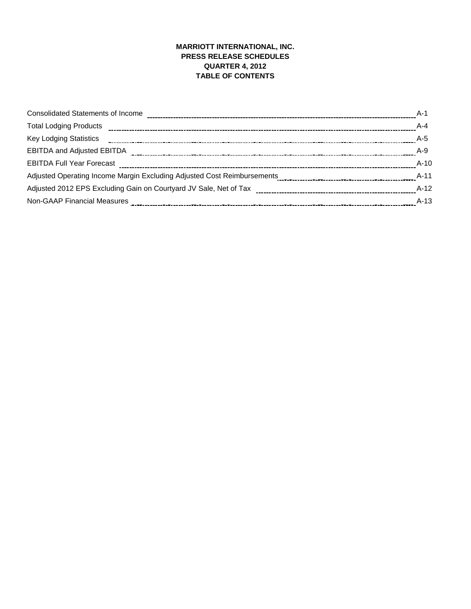## **MARRIOTT INTERNATIONAL, INC. PRESS RELEASE SCHEDULES QUARTER 4, 2012 TABLE OF CONTENTS**

| $A-1$  |
|--------|
| $A-4$  |
| $A-5$  |
| $A-9$  |
| $A-10$ |
| $A-11$ |
| $A-12$ |
| $A-13$ |
|        |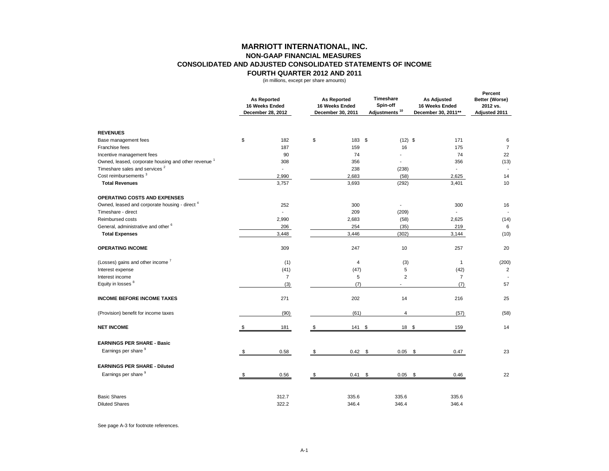|                                                                               |     | <b>As Reported</b><br>16 Weeks Ended<br>December 28, 2012 |               | <b>As Reported</b><br>16 Weeks Ended<br>December 30, 2011 | <b>Timeshare</b><br>Spin-off<br>Adjustments <sup>10</sup> | <b>As Adjusted</b><br>16 Weeks Ended<br>December 30, 2011** | <b>Percent</b><br><b>Better (Worse)</b><br>2012 vs.<br><b>Adjusted 2011</b> |
|-------------------------------------------------------------------------------|-----|-----------------------------------------------------------|---------------|-----------------------------------------------------------|-----------------------------------------------------------|-------------------------------------------------------------|-----------------------------------------------------------------------------|
| <b>REVENUES</b>                                                               |     |                                                           |               |                                                           |                                                           |                                                             |                                                                             |
| Base management fees                                                          | \$  | 182                                                       | $\frac{1}{2}$ | 183 \$                                                    | $(12)$ \$                                                 | 171                                                         | 6                                                                           |
| Franchise fees                                                                |     | 187                                                       |               | 159                                                       | 16                                                        | 175                                                         | $\overline{7}$                                                              |
| Incentive management fees                                                     |     | 90                                                        |               | 74                                                        |                                                           | 74                                                          | 22                                                                          |
| Owned, leased, corporate housing and other revenue <sup>1</sup>               |     | 308                                                       |               | 356                                                       |                                                           | 356                                                         | (13)                                                                        |
| Timeshare sales and services <sup>2</sup><br>Cost reimbursements <sup>3</sup> |     |                                                           |               | 238                                                       | (238)                                                     |                                                             |                                                                             |
|                                                                               |     | 2,990                                                     |               | 2,683                                                     | (58)                                                      | 2,625                                                       | 14<br>10                                                                    |
| <b>Total Revenues</b>                                                         |     | 3,757                                                     |               | 3,693                                                     | (292)                                                     | 3,401                                                       |                                                                             |
| <b>OPERATING COSTS AND EXPENSES</b>                                           |     |                                                           |               |                                                           |                                                           |                                                             |                                                                             |
| Owned, leased and corporate housing - direct <sup>4</sup>                     |     | 252                                                       |               | 300                                                       |                                                           | 300                                                         | 16                                                                          |
| Timeshare - direct                                                            |     |                                                           |               | 209                                                       | (209)                                                     |                                                             |                                                                             |
| Reimbursed costs                                                              |     | 2,990                                                     |               | 2,683                                                     | (58)                                                      | 2,625                                                       | (14)                                                                        |
| General, administrative and other <sup>6</sup>                                |     | 206                                                       |               | 254                                                       | (35)                                                      | 219                                                         | 6                                                                           |
| <b>Total Expenses</b>                                                         |     | 3,448                                                     |               | 3,446                                                     | (302)                                                     | 3,144                                                       | (10)                                                                        |
| <b>OPERATING INCOME</b>                                                       |     | 309                                                       |               | 247                                                       | 10                                                        | 257                                                         | 20                                                                          |
| (Losses) gains and other income <sup>7</sup>                                  |     | (1)                                                       |               | 4                                                         | (3)                                                       | 1                                                           | (200)                                                                       |
| Interest expense                                                              |     | (41)                                                      |               | (47)                                                      | 5                                                         | (42)                                                        | $\overline{2}$                                                              |
| Interest income                                                               |     | $\overline{7}$                                            |               | 5                                                         | $\overline{c}$                                            | $\overline{7}$                                              |                                                                             |
| Equity in losses 8                                                            |     | (3)                                                       |               | (7)                                                       |                                                           | (7)                                                         | 57                                                                          |
| <b>INCOME BEFORE INCOME TAXES</b>                                             |     | 271                                                       |               | 202                                                       | 14                                                        | 216                                                         | 25                                                                          |
| (Provision) benefit for income taxes                                          |     | (90)                                                      |               | (61)                                                      | 4                                                         | (57)                                                        | (58)                                                                        |
| <b>NET INCOME</b>                                                             | \$  | <u>181</u>                                                | \$            | $141 \text{ } $$                                          | $18 \quad $$                                              | <u>159</u>                                                  | 14                                                                          |
| <b>EARNINGS PER SHARE - Basic</b>                                             |     |                                                           |               |                                                           |                                                           |                                                             |                                                                             |
| Earnings per share 9                                                          | -\$ | 0.58                                                      | \$            | $0.42$ \$                                                 | $0.05$ \$                                                 | 0.47                                                        | 23                                                                          |
| <b>EARNINGS PER SHARE - Diluted</b>                                           |     |                                                           |               |                                                           |                                                           |                                                             |                                                                             |
| Earnings per share 9                                                          | \$  | 0.56                                                      | \$            | $0.41 \quad$                                              | $0.05$ \$                                                 | 0.46                                                        | 22                                                                          |
|                                                                               |     |                                                           |               |                                                           |                                                           |                                                             |                                                                             |
| <b>Basic Shares</b>                                                           |     | 312.7                                                     |               | 335.6                                                     | 335.6                                                     | 335.6                                                       |                                                                             |
| <b>Diluted Shares</b>                                                         |     | 322.2                                                     |               | 346.4                                                     | 346.4                                                     | 346.4                                                       |                                                                             |

See page A-3 for footnote references.

# **MARRIOTT INTERNATIONAL, INC. NON-GAAP FINANCIAL MEASURES CONSOLIDATED AND ADJUSTED CONSOLIDATED STATEMENTS OF INCOME FOURTH QUARTER 2012 AND 2011**

(in millions, except per share amounts)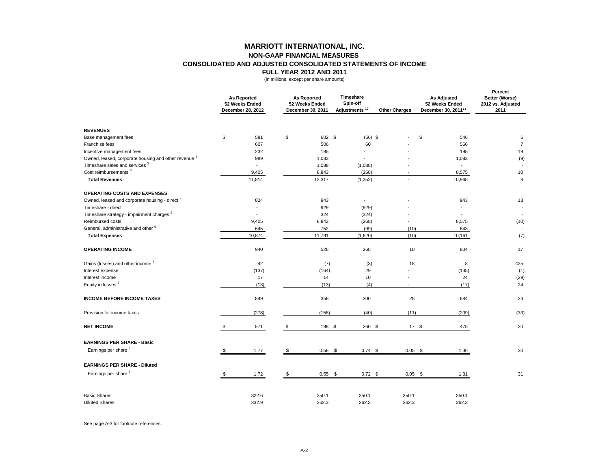|                                                                 |    | <b>As Reported</b><br>52 Weeks Ended<br>December 28, 2012 |                | <b>As Reported</b><br>52 Weeks Ended<br><b>December 30, 2011</b> | <b>Timeshare</b><br>Spin-off<br>Adjustments <sup>10</sup> | <b>Other Charges</b> |            | <b>As Adjusted</b><br>52 Weeks Ended<br>December 30, 2011** | <b>Percent</b><br><b>Better (Worse)</b><br>2012 vs. Adjusted<br>2011 |
|-----------------------------------------------------------------|----|-----------------------------------------------------------|----------------|------------------------------------------------------------------|-----------------------------------------------------------|----------------------|------------|-------------------------------------------------------------|----------------------------------------------------------------------|
| <b>REVENUES</b>                                                 |    |                                                           |                |                                                                  |                                                           |                      |            |                                                             |                                                                      |
| Base management fees                                            | \$ | 581                                                       | \$             | 602 \$                                                           | $(56)$ \$                                                 |                      | \$         | 546                                                         | 6                                                                    |
| Franchise fees                                                  |    | 607                                                       |                | 506                                                              | 60                                                        |                      |            | 566                                                         | $\overline{7}$                                                       |
| Incentive management fees                                       |    | 232                                                       |                | 195                                                              |                                                           |                      |            | 195                                                         | 19                                                                   |
| Owned, leased, corporate housing and other revenue <sup>1</sup> |    | 989                                                       |                | 1,083                                                            |                                                           |                      |            | 1,083                                                       | (9)                                                                  |
| Timeshare sales and services <sup>2</sup>                       |    | $\overline{\phantom{a}}$                                  |                | 1,088                                                            | (1,088)                                                   |                      |            |                                                             |                                                                      |
| Cost reimbursements <sup>3</sup>                                |    | 9,405                                                     |                | 8,843                                                            | (268)                                                     |                      |            | 8,575                                                       | 10                                                                   |
| <b>Total Revenues</b>                                           |    | 11,814                                                    |                | 12,317                                                           | (1, 352)                                                  | $\sim$               |            | 10,965                                                      | 8                                                                    |
| <b>OPERATING COSTS AND EXPENSES</b>                             |    |                                                           |                |                                                                  |                                                           |                      |            |                                                             |                                                                      |
| Owned, leased and corporate housing - direct <sup>4</sup>       |    | 824                                                       |                | 943                                                              | $\blacksquare$                                            |                      |            | 943                                                         | 13                                                                   |
| Timeshare - direct                                              |    |                                                           |                | 929                                                              | (929)                                                     |                      |            |                                                             |                                                                      |
| Timeshare strategy - impairment charges <sup>5</sup>            |    |                                                           |                | 324                                                              | (324)                                                     |                      |            |                                                             | $\sim$                                                               |
| Reimbursed costs                                                |    | 9,405                                                     |                | 8,843                                                            | (268)                                                     |                      |            | 8,575                                                       | (10)                                                                 |
| General, administrative and other <sup>6</sup>                  |    | 645                                                       |                | 752                                                              | (99)                                                      |                      | (10)       | 643                                                         |                                                                      |
| <b>Total Expenses</b>                                           |    | 10,874                                                    |                | 11,791                                                           | (1,620)                                                   |                      | (10)       | 10,161                                                      | (7)                                                                  |
| <b>OPERATING INCOME</b>                                         |    | 940                                                       |                | 526                                                              | 268                                                       |                      | 10         | 804                                                         | 17                                                                   |
| Gains (losses) and other income <sup>7</sup>                    |    | 42                                                        |                | (7)                                                              | (3)                                                       |                      | 18         | 8                                                           | 425                                                                  |
| Interest expense                                                |    | (137)                                                     |                | (164)                                                            | 29                                                        |                      |            | (135)                                                       | (1)                                                                  |
| Interest income                                                 |    | 17                                                        |                | 14                                                               | 10                                                        |                      |            | 24                                                          | (29)                                                                 |
| Equity in losses 8                                              |    | (13)                                                      |                | (13)                                                             | (4)                                                       |                      |            | (17)                                                        | 24                                                                   |
| <b>INCOME BEFORE INCOME TAXES</b>                               |    | 849                                                       |                | 356                                                              | 300                                                       |                      | 28         | 684                                                         | 24                                                                   |
| Provision for income taxes                                      |    | (278)                                                     |                | (158)                                                            | (40)                                                      |                      | (11)       | (209)                                                       | (33)                                                                 |
| <b>NET INCOME</b>                                               |    | 571                                                       | \$             | 198 \$                                                           | 260 \$                                                    |                      | $17 \quad$ | 475                                                         | 20                                                                   |
| <b>EARNINGS PER SHARE - Basic</b>                               |    |                                                           |                |                                                                  |                                                           |                      |            |                                                             |                                                                      |
| Earnings per share 9                                            | S. | 1.77                                                      | $\mathfrak{S}$ | $0.56$ \$                                                        | $0.74$ \$                                                 |                      | $0.05$ \$  | 1.36                                                        | 30 <sup>°</sup>                                                      |
| <b>EARNINGS PER SHARE - Diluted</b>                             |    |                                                           |                |                                                                  |                                                           |                      |            |                                                             |                                                                      |
| Earnings per share 9                                            | \$ | 1.72                                                      | \$             | $0.55$ \$                                                        | $0.72$ \$                                                 |                      | $0.05$ \$  | 1.31                                                        | 31                                                                   |
|                                                                 |    |                                                           |                |                                                                  |                                                           |                      |            |                                                             |                                                                      |
| <b>Basic Shares</b>                                             |    | 322.6                                                     |                | 350.1                                                            | 350.1                                                     | 350.1                |            | 350.1                                                       |                                                                      |
| <b>Diluted Shares</b>                                           |    | 332.9                                                     |                | 362.3                                                            | 362.3                                                     | 362.3                |            | 362.3                                                       |                                                                      |

See page A-3 for footnote references.

# **MARRIOTT INTERNATIONAL, INC. NON-GAAP FINANCIAL MEASURES CONSOLIDATED AND ADJUSTED CONSOLIDATED STATEMENTS OF INCOME FULL YEAR 2012 AND 2011**

(in millions, except per share amounts)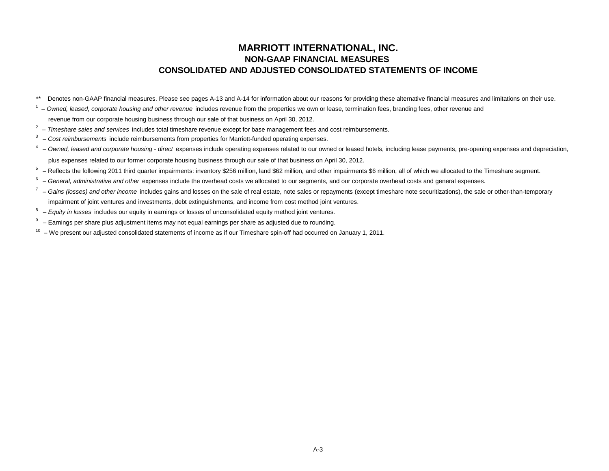# **MARRIOTT INTERNATIONAL, INC. NON-GAAP FINANCIAL MEASURES CONSOLIDATED AND ADJUSTED CONSOLIDATED STATEMENTS OF INCOME**

- \*\* Denotes non-GAAP financial measures. Please see pages A-13 and A-14 for information about our reasons for providing these alternative financial measures and limitations on their use.
- <sup>1</sup> Owned, leased, corporate housing and other revenue includes revenue from the properties we own or lease, termination fees, branding fees, other revenue and revenue from our corporate housing business through our sale of that business on April 30, 2012.
- 2 *Timeshare sales and services* includes total timeshare revenue except for base management fees and cost reimbursements.
- 3 *Cost reimbursements* include reimbursements from properties for Marriott-funded operating expenses.
- <sup>4</sup> Owned, leased and corporate housing direct expenses include operating expenses related to our owned or leased hotels, including lease payments, pre-opening expenses and depreciation, plus expenses related to our former corporate housing business through our sale of that business on April 30, 2012.
- $5$  Reflects the following 2011 third quarter impairments: inventory \$256 million, land \$62 million, and other impairments \$6 million, all of which we allocated to the Timeshare segment.
- 6 *General, administrative and other* expenses include the overhead costs we allocated to our segments, and our corporate overhead costs and general expenses.
- $<sup>7</sup>$  Gains (losses) and other income includes gains and losses on the sale of real estate, note sales or repayments (except timeshare note securitizations), the sale or other-than-temporary</sup> impairment of joint ventures and investments, debt extinguishments, and income from cost method joint ventures.
- 8 *Equity in losses* includes our equity in earnings or losses of unconsolidated equity method joint ventures.
- 9 Earnings per share plus adjustment items may not equal earnings per share as adjusted due to rounding.
- $10 -$  We present our adjusted consolidated statements of income as if our Timeshare spin-off had occurred on January 1, 2011.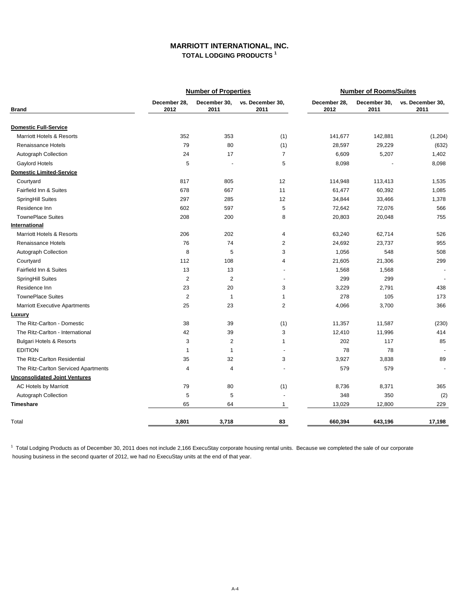$1$  Total Lodging Products as of December 30, 2011 does not include 2,166 ExecuStay corporate housing rental units. Because we completed the sale of our corporate housing business in the second quarter of 2012, we had no ExecuStay units at the end of that year.

|                                      |                      | <b>Number of Properties</b> |                           | <b>Number of Rooms/Suites</b> |                      |                          |  |  |
|--------------------------------------|----------------------|-----------------------------|---------------------------|-------------------------------|----------------------|--------------------------|--|--|
| <b>Brand</b>                         | December 28,<br>2012 | December 30,<br>2011        | vs. December 30,<br>2011  | December 28,<br>2012          | December 30,<br>2011 | vs. December 30,<br>2011 |  |  |
| <b>Domestic Full-Service</b>         |                      |                             |                           |                               |                      |                          |  |  |
| <b>Marriott Hotels &amp; Resorts</b> | 352                  | 353                         | (1)                       | 141,677                       | 142,881              | (1,204)                  |  |  |
| <b>Renaissance Hotels</b>            | 79                   | 80                          | (1)                       | 28,597                        | 29,229               | (632)                    |  |  |
| <b>Autograph Collection</b>          | 24                   | 17                          | $\overline{7}$            | 6,609                         | 5,207                | 1,402                    |  |  |
| <b>Gaylord Hotels</b>                | 5                    | $\blacksquare$              | $\mathbf 5$               | 8,098                         |                      | 8,098                    |  |  |
| <b>Domestic Limited-Service</b>      |                      |                             |                           |                               |                      |                          |  |  |
| Courtyard                            | 817                  | 805                         | 12                        | 114,948                       | 113,413              | 1,535                    |  |  |
| <b>Fairfield Inn &amp; Suites</b>    | 678                  | 667                         | 11                        | 61,477                        | 60,392               | 1,085                    |  |  |
| <b>SpringHill Suites</b>             | 297                  | 285                         | 12                        | 34,844                        | 33,466               | 1,378                    |  |  |
| Residence Inn                        | 602                  | 597                         | $\mathbf 5$               | 72,642                        | 72,076               | 566                      |  |  |
| <b>TownePlace Suites</b>             | 208                  | 200                         | 8                         | 20,803                        | 20,048               | 755                      |  |  |
| <b>International</b>                 |                      |                             |                           |                               |                      |                          |  |  |
| <b>Marriott Hotels &amp; Resorts</b> | 206                  | 202                         | 4                         | 63,240                        | 62,714               | 526                      |  |  |
| <b>Renaissance Hotels</b>            | 76                   | 74                          | $\overline{2}$            | 24,692                        | 23,737               | 955                      |  |  |
| <b>Autograph Collection</b>          | 8                    | 5                           | 3                         | 1,056                         | 548                  | 508                      |  |  |
| Courtyard                            | 112                  | 108                         | 4                         | 21,605                        | 21,306               | 299                      |  |  |
| <b>Fairfield Inn &amp; Suites</b>    | 13                   | 13                          | $\overline{\phantom{a}}$  | 1,568                         | 1,568                |                          |  |  |
| <b>SpringHill Suites</b>             | $\mathbf 2$          | $\overline{c}$              |                           | 299                           | 299                  |                          |  |  |
| Residence Inn                        | 23                   | 20                          | $\ensuremath{\mathsf{3}}$ | 3,229                         | 2,791                | 438                      |  |  |
| <b>TownePlace Suites</b>             | $\mathbf{2}$         |                             |                           | 278                           | 105                  | 173                      |  |  |
| <b>Marriott Executive Apartments</b> | 25                   | 23                          | $\overline{2}$            | 4,066                         | 3,700                | 366                      |  |  |
| <b>Luxury</b>                        |                      |                             |                           |                               |                      |                          |  |  |
| The Ritz-Carlton - Domestic          | 38                   | 39                          | (1)                       | 11,357                        | 11,587               | (230)                    |  |  |
| The Ritz-Carlton - International     | 42                   | 39                          | 3                         | 12,410                        | 11,996               | 414                      |  |  |
| <b>Bulgari Hotels &amp; Resorts</b>  | $\sqrt{3}$           | $\overline{2}$              |                           | 202                           | 117                  | 85                       |  |  |
| <b>EDITION</b>                       |                      |                             |                           | 78                            | 78                   |                          |  |  |
| The Ritz-Carlton Residential         | 35                   | 32                          | 3                         | 3,927                         | 3,838                | 89                       |  |  |
| The Ritz-Carlton Serviced Apartments | 4                    | 4                           |                           | 579                           | 579                  |                          |  |  |
| <b>Unconsolidated Joint Ventures</b> |                      |                             |                           |                               |                      |                          |  |  |
| <b>AC Hotels by Marriott</b>         | 79                   | 80                          | (1)                       | 8,736                         | 8,371                | 365                      |  |  |
| <b>Autograph Collection</b>          | $\sqrt{5}$           | 5                           |                           | 348                           | 350                  | (2)                      |  |  |
| <b>Timeshare</b>                     | 65                   | 64                          |                           | 13,029                        | 12,800               | 229                      |  |  |

# **MARRIOTT INTERNATIONAL, INC. TOTAL LODGING PRODUCTS 1**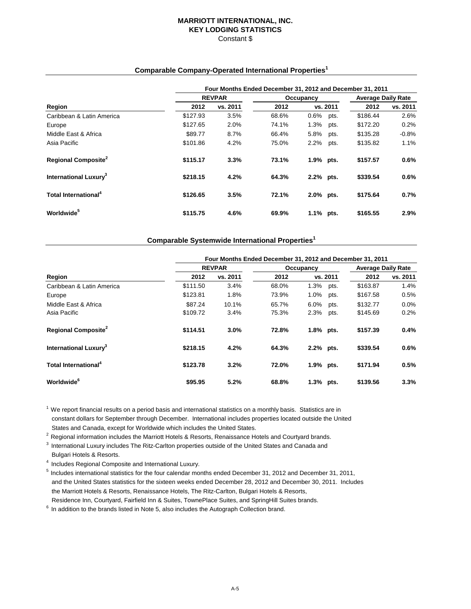## **MARRIOTT INTERNATIONAL, INC. KEY LODGING STATISTICS** Constant \$

# **Comparable Company-Operated International Properties<sup>1</sup>**

|                                          | Four Months Ended December 31, 2012 and December 31, 2011 |               |       |           |           |          |          |  |  |  |
|------------------------------------------|-----------------------------------------------------------|---------------|-------|-----------|-----------|----------|----------|--|--|--|
| Region                                   |                                                           | <b>REVPAR</b> |       |           | Occupancy |          |          |  |  |  |
|                                          | 2012                                                      | vs. 2011      | 2012  | vs. 2011  |           | 2012     | vs. 2011 |  |  |  |
| Caribbean & Latin America                | \$127.93                                                  | 3.5%          | 68.6% | 0.6%      | pts.      | \$186.44 | 2.6%     |  |  |  |
| Europe                                   | \$127.65                                                  | 2.0%          | 74.1% | 1.3%      | pts.      | \$172.20 | 0.2%     |  |  |  |
| Middle East & Africa                     | \$89.77                                                   | 8.7%          | 66.4% | 5.8%      | pts.      | \$135.28 | $-0.8%$  |  |  |  |
| Asia Pacific                             | \$101.86                                                  | 4.2%          | 75.0% | 2.2%      | pts.      | \$135.82 | 1.1%     |  |  |  |
| <b>Regional Composite<sup>2</sup></b>    | \$115.17                                                  | 3.3%          | 73.1% | 1.9% pts. |           | \$157.57 | 0.6%     |  |  |  |
| <b>International Luxury</b> <sup>3</sup> | \$218.15                                                  | 4.2%          | 64.3% | 2.2% pts. |           | \$339.54 | 0.6%     |  |  |  |
| Total International <sup>4</sup>         | \$126.65                                                  | 3.5%          | 72.1% | 2.0% pts. |           | \$175.64 | 0.7%     |  |  |  |
| Worldwide <sup>5</sup>                   | \$115.75                                                  | 4.6%          | 69.9% | 1.1% pts. |           | \$165.55 | 2.9%     |  |  |  |

# **Comparable Systemwide International Properties<sup>1</sup>**

 $1$  We report financial results on a period basis and international statistics on a monthly basis. Statistics are in constant dollars for September through December. International includes properties located outside the United States and Canada, except for Worldwide which includes the United States.

<sup>2</sup> Regional information includes the Marriott Hotels & Resorts, Renaissance Hotels and Courtyard brands.

<sup>3</sup> International Luxury includes The Ritz-Carlton properties outside of the United States and Canada and Bulgari Hotels & Resorts.

- 4 Includes Regional Composite and International Luxury.
- 5 Includes international statistics for the four calendar months ended December 31, 2012 and December 31, 2011, and the United States statistics for the sixteen weeks ended December 28, 2012 and December 30, 2011. Includes
- the Marriott Hotels & Resorts, Renaissance Hotels, The Ritz-Carlton, Bulgari Hotels & Resorts,
- Residence Inn, Courtyard, Fairfield Inn & Suites, TownePlace Suites, and SpringHill Suites brands.
- $6$  In addition to the brands listed in Note 5, also includes the Autograph Collection brand.

|                                          | Four Months Ended December 31, 2012 and December 31, 2011 |               |                |              |                           |                      |              |  |  |  |
|------------------------------------------|-----------------------------------------------------------|---------------|----------------|--------------|---------------------------|----------------------|--------------|--|--|--|
|                                          |                                                           | <b>REVPAR</b> |                | Occupancy    | <b>Average Daily Rate</b> |                      |              |  |  |  |
| <b>Region</b>                            | 2012                                                      | vs. 2011      | 2012           |              | vs. 2011                  | 2012                 | vs. 2011     |  |  |  |
| Caribbean & Latin America                | \$111.50                                                  | 3.4%          | 68.0%          | 1.3%         | pts.                      | \$163.87             | 1.4%         |  |  |  |
| Europe                                   | \$123.81                                                  | 1.8%          | 73.9%          | 1.0%         | pts.                      | \$167.58             | 0.5%         |  |  |  |
| Middle East & Africa<br>Asia Pacific     | \$87.24<br>\$109.72                                       | 10.1%<br>3.4% | 65.7%<br>75.3% | 6.0%<br>2.3% | pts.<br>pts.              | \$132.77<br>\$145.69 | 0.0%<br>0.2% |  |  |  |
| <b>Regional Composite<sup>2</sup></b>    | \$114.51                                                  | 3.0%          | 72.8%          | 1.8% pts.    |                           | \$157.39             | 0.4%         |  |  |  |
| <b>International Luxury</b> <sup>3</sup> | \$218.15                                                  | 4.2%          | 64.3%          | 2.2% pts.    |                           | \$339.54             | 0.6%         |  |  |  |
| Total International <sup>4</sup>         | \$123.78                                                  | 3.2%          | 72.0%          | 1.9%         | pts.                      | \$171.94             | 0.5%         |  |  |  |
| Worldwide <sup>6</sup>                   | \$95.95                                                   | 5.2%          | 68.8%          | 1.3% pts.    |                           | \$139.56             | 3.3%         |  |  |  |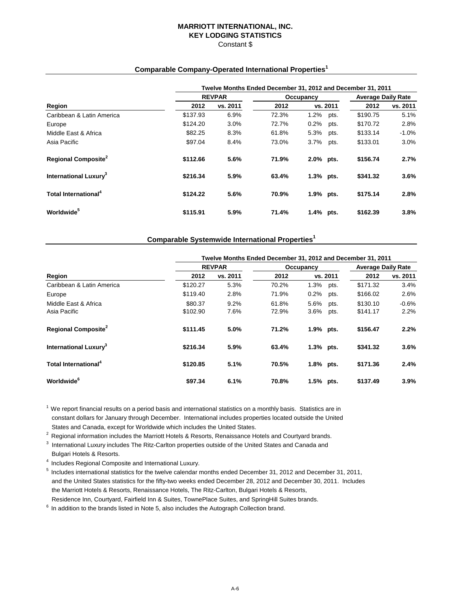## **MARRIOTT INTERNATIONAL, INC. KEY LODGING STATISTICS** Constant \$

## **Comparable Company-Operated International Properties<sup>1</sup>**

|                                          | Twelve Months Ended December 31, 2012 and December 31, 2011 |               |       |           |           |          |          |  |  |  |
|------------------------------------------|-------------------------------------------------------------|---------------|-------|-----------|-----------|----------|----------|--|--|--|
| Region                                   |                                                             | <b>REVPAR</b> |       |           | Occupancy |          |          |  |  |  |
|                                          | 2012                                                        | vs. 2011      | 2012  |           | vs. 2011  | 2012     | vs. 2011 |  |  |  |
| Caribbean & Latin America                | \$137.93                                                    | 6.9%          | 72.3% | 1.2%      | pts.      | \$190.75 | 5.1%     |  |  |  |
| Europe                                   | \$124.20                                                    | 3.0%          | 72.7% | 0.2%      | pts.      | \$170.72 | 2.8%     |  |  |  |
| Middle East & Africa                     | \$82.25                                                     | 8.3%          | 61.8% | 5.3%      | pts.      | \$133.14 | $-1.0\%$ |  |  |  |
| Asia Pacific                             | \$97.04                                                     | 8.4%          | 73.0% | 3.7%      | pts.      | \$133.01 | 3.0%     |  |  |  |
| <b>Regional Composite</b> <sup>2</sup>   | \$112.66                                                    | 5.6%          | 71.9% | 2.0% pts. |           | \$156.74 | 2.7%     |  |  |  |
| <b>International Luxury</b> <sup>3</sup> | \$216.34                                                    | 5.9%          | 63.4% | 1.3% pts. |           | \$341.32 | 3.6%     |  |  |  |
| <b>Total International</b> <sup>4</sup>  | \$124.22                                                    | 5.6%          | 70.9% | 1.9% pts. |           | \$175.14 | 2.8%     |  |  |  |
| Worldwide <sup>5</sup>                   | \$115.91                                                    | 5.9%          | 71.4% | 1.4% pts. |           | \$162.39 | 3.8%     |  |  |  |

# **Comparable Systemwide International Properties<sup>1</sup>**

 $1$  We report financial results on a period basis and international statistics on a monthly basis. Statistics are in constant dollars for January through December. International includes properties located outside the United States and Canada, except for Worldwide which includes the United States.

<sup>2</sup> Regional information includes the Marriott Hotels & Resorts, Renaissance Hotels and Courtyard brands.

 $^{\rm 3}$  International Luxury includes The Ritz-Carlton properties outside of the United States and Canada and Bulgari Hotels & Resorts.

- 4 Includes Regional Composite and International Luxury.
- $5$  Includes international statistics for the twelve calendar months ended December 31, 2012 and December 31, 2011, and the United States statistics for the fifty-two weeks ended December 28, 2012 and December 30, 2011. Includes the Marriott Hotels & Resorts, Renaissance Hotels, The Ritz-Carlton, Bulgari Hotels & Resorts, Residence Inn, Courtyard, Fairfield Inn & Suites, TownePlace Suites, and SpringHill Suites brands.
- 
- $6$  In addition to the brands listed in Note 5, also includes the Autograph Collection brand.

|                                          | Twelve Months Ended December 31, 2012 and December 31, 2011 |               |                |              |                           |                      |                 |  |  |  |
|------------------------------------------|-------------------------------------------------------------|---------------|----------------|--------------|---------------------------|----------------------|-----------------|--|--|--|
| <b>Region</b>                            |                                                             | <b>REVPAR</b> |                | Occupancy    | <b>Average Daily Rate</b> |                      |                 |  |  |  |
|                                          | 2012                                                        | vs. 2011      | 2012           |              | vs. 2011                  | 2012                 | vs. 2011        |  |  |  |
| Caribbean & Latin America                | \$120.27                                                    | 5.3%          | 70.2%          | 1.3%         | pts.                      | \$171.32             | 3.4%            |  |  |  |
| Europe                                   | \$119.40                                                    | 2.8%          | 71.9%          | 0.2%         | pts.                      | \$166.02             | 2.6%            |  |  |  |
| Middle East & Africa<br>Asia Pacific     | \$80.37<br>\$102.90                                         | 9.2%<br>7.6%  | 61.8%<br>72.9% | 5.6%<br>3.6% | pts.<br>pts.              | \$130.10<br>\$141.17 | $-0.6%$<br>2.2% |  |  |  |
| <b>Regional Composite</b> <sup>2</sup>   | \$111.45                                                    | 5.0%          | 71.2%          | 1.9% pts.    |                           | \$156.47             | 2.2%            |  |  |  |
| <b>International Luxury</b> <sup>3</sup> | \$216.34                                                    | 5.9%          | 63.4%          | 1.3% pts.    |                           | \$341.32             | 3.6%            |  |  |  |
| Total International <sup>4</sup>         | \$120.85                                                    | 5.1%          | 70.5%          | 1.8% pts.    |                           | \$171.36             | 2.4%            |  |  |  |
| Worldwide <sup>6</sup>                   | \$97.34                                                     | 6.1%          | 70.8%          | 1.5% pts.    |                           | \$137.49             | 3.9%            |  |  |  |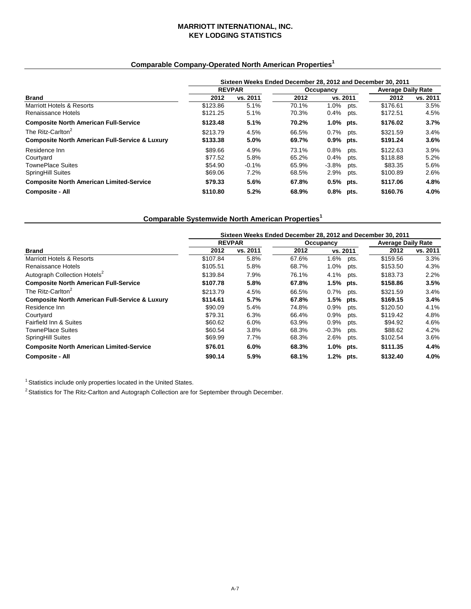## **MARRIOTT INTERNATIONAL, INC. KEY LODGING STATISTICS**

# **Comparable Company-Operated North American Properties<sup>1</sup>**

|                                                           | Sixteen Weeks Ended December 28, 2012 and December 30, 2011 |               |       |             |      |          |                           |  |  |
|-----------------------------------------------------------|-------------------------------------------------------------|---------------|-------|-------------|------|----------|---------------------------|--|--|
|                                                           |                                                             | <b>REVPAR</b> |       | Occupancy   |      |          | <b>Average Daily Rate</b> |  |  |
| <b>Brand</b>                                              | 2012                                                        | vs. 2011      | 2012  | vs. 2011    |      | 2012     | vs. 2011                  |  |  |
| <b>Marriott Hotels &amp; Resorts</b>                      | \$123.86                                                    | 5.1%          | 70.1% | 1.0%        | pts. | \$176.61 | 3.5%                      |  |  |
| Renaissance Hotels                                        | \$121.25                                                    | 5.1%          | 70.3% | 0.4%        | pts. | \$172.51 | 4.5%                      |  |  |
| <b>Composite North American Full-Service</b>              | \$123.48                                                    | 5.1%          | 70.2% | 1.0%        | pts. | \$176.02 | 3.7%                      |  |  |
| The Ritz-Carlton <sup>2</sup>                             | \$213.79                                                    | 4.5%          | 66.5% | 0.7%        | pts. | \$321.59 | 3.4%                      |  |  |
| <b>Composite North American Full-Service &amp; Luxury</b> | \$133.38                                                    | 5.0%          | 69.7% | 0.9% pts.   |      | \$191.24 | 3.6%                      |  |  |
| Residence Inn                                             | \$89.66                                                     | 4.9%          | 73.1% | 0.8%        | pts. | \$122.63 | 3.9%                      |  |  |
| Courtyard                                                 | \$77.52                                                     | 5.8%          | 65.2% | 0.4%        | pts. | \$118.88 | 5.2%                      |  |  |
| <b>TownePlace Suites</b>                                  | \$54.90                                                     | $-0.1%$       | 65.9% | $-3.8%$     | pts. | \$83.35  | 5.6%                      |  |  |
| <b>SpringHill Suites</b>                                  | \$69.06                                                     | 7.2%          | 68.5% | 2.9%        | pts. | \$100.89 | 2.6%                      |  |  |
| <b>Composite North American Limited-Service</b>           | \$79.33                                                     | 5.6%          | 67.8% | $0.5%$ pts. |      | \$117.06 | 4.8%                      |  |  |
| <b>Composite - All</b>                                    | \$110.80                                                    | 5.2%          | 68.9% | 0.8% pts.   |      | \$160.76 | 4.0%                      |  |  |

# **Comparable Systemwide North American Properties<sup>1</sup>**

|                                                           | Sixteen Weeks Ended December 28, 2012 and December 30, 2011 |               |           |           |      |                           |          |  |  |
|-----------------------------------------------------------|-------------------------------------------------------------|---------------|-----------|-----------|------|---------------------------|----------|--|--|
|                                                           |                                                             | <b>REVPAR</b> | Occupancy |           |      | <b>Average Daily Rate</b> |          |  |  |
| <b>Brand</b>                                              | 2012                                                        | vs. 2011      | 2012      | vs. 2011  |      | 2012                      | vs. 2011 |  |  |
| <b>Marriott Hotels &amp; Resorts</b>                      | \$107.84                                                    | 5.8%          | 67.6%     | 1.6%      | pts. | \$159.56                  | 3.3%     |  |  |
| Renaissance Hotels                                        | \$105.51                                                    | 5.8%          | 68.7%     | 1.0%      | pts. | \$153.50                  | 4.3%     |  |  |
| Autograph Collection Hotels <sup>2</sup>                  | \$139.84                                                    | 7.9%          | 76.1%     | 4.1%      | pts. | \$183.73                  | 2.2%     |  |  |
| <b>Composite North American Full-Service</b>              | \$107.78                                                    | 5.8%          | 67.8%     | 1.5%      | pts. | \$158.86                  | 3.5%     |  |  |
| The Ritz-Carlton <sup>2</sup>                             | \$213.79                                                    | 4.5%          | 66.5%     | 0.7%      | pts. | \$321.59                  | 3.4%     |  |  |
| <b>Composite North American Full-Service &amp; Luxury</b> | \$114.61                                                    | 5.7%          | 67.8%     | 1.5%      | pts. | \$169.15                  | 3.4%     |  |  |
| Residence Inn                                             | \$90.09                                                     | 5.4%          | 74.8%     | 0.9%      | pts. | \$120.50                  | 4.1%     |  |  |
| Courtyard                                                 | \$79.31                                                     | 6.3%          | 66.4%     | 0.9%      | pts. | \$119.42                  | 4.8%     |  |  |
| <b>Fairfield Inn &amp; Suites</b>                         | \$60.62                                                     | 6.0%          | 63.9%     | 0.9%      | pts. | \$94.92                   | 4.6%     |  |  |
| <b>TownePlace Suites</b>                                  | \$60.54                                                     | 3.8%          | 68.3%     | $-0.3%$   | pts. | \$88.62                   | 4.2%     |  |  |
| <b>SpringHill Suites</b>                                  | \$69.99                                                     | 7.7%          | 68.3%     | 2.6%      | pts. | \$102.54                  | 3.6%     |  |  |
| <b>Composite North American Limited-Service</b>           | \$76.01                                                     | 6.0%          | 68.3%     | 1.0% pts. |      | \$111.35                  | 4.4%     |  |  |
| <b>Composite - All</b>                                    | \$90.14                                                     | 5.9%          | 68.1%     | 1.2% pts. |      | \$132.40                  | 4.0%     |  |  |

 $1$  Statistics include only properties located in the United States.

<sup>2</sup> Statistics for The Ritz-Carlton and Autograph Collection are for September through December.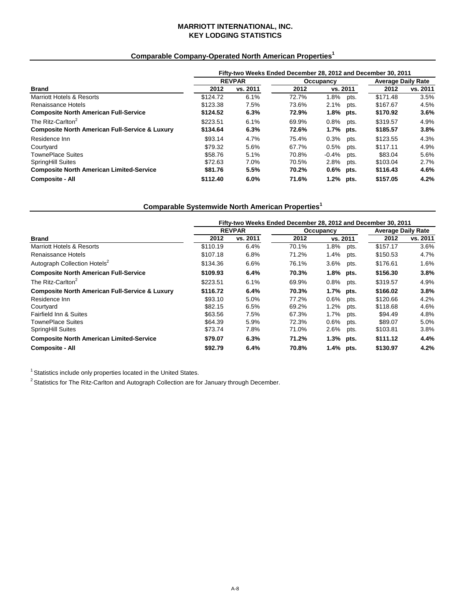## **MARRIOTT INTERNATIONAL, INC. KEY LODGING STATISTICS**

# **Comparable Company-Operated North American Properties<sup>1</sup>**

|                                                           | Fifty-two Weeks Ended December 28, 2012 and December 30, 2011 |               |           |             |      |                           |          |  |  |
|-----------------------------------------------------------|---------------------------------------------------------------|---------------|-----------|-------------|------|---------------------------|----------|--|--|
|                                                           |                                                               | <b>REVPAR</b> | Occupancy |             |      | <b>Average Daily Rate</b> |          |  |  |
| <b>Brand</b>                                              | 2012                                                          | vs. 2011      | 2012      | vs. 2011    |      | 2012                      | vs. 2011 |  |  |
| <b>Marriott Hotels &amp; Resorts</b>                      | \$124.72                                                      | 6.1%          | 72.7%     | 1.8%        | pts. | \$171.48                  | 3.5%     |  |  |
| Renaissance Hotels                                        | \$123.38                                                      | 7.5%          | 73.6%     | 2.1%        | pts. | \$167.67                  | 4.5%     |  |  |
| <b>Composite North American Full-Service</b>              | \$124.52                                                      | 6.3%          | 72.9%     | 1.8% pts.   |      | \$170.92                  | 3.6%     |  |  |
| The Ritz-Carlton <sup>2</sup>                             | \$223.51                                                      | 6.1%          | 69.9%     | 0.8%        | pts. | \$319.57                  | 4.9%     |  |  |
| <b>Composite North American Full-Service &amp; Luxury</b> | \$134.64                                                      | 6.3%          | 72.6%     | 1.7% pts.   |      | \$185.57                  | 3.8%     |  |  |
| Residence Inn                                             | \$93.14                                                       | 4.7%          | 75.4%     | 0.3%        | pts. | \$123.55                  | 4.3%     |  |  |
| Courtyard                                                 | \$79.32                                                       | 5.6%          | 67.7%     | 0.5%        | pts. | \$117.11                  | 4.9%     |  |  |
| <b>TownePlace Suites</b>                                  | \$58.76                                                       | 5.1%          | 70.8%     | $-0.4%$     | pts. | \$83.04                   | 5.6%     |  |  |
| <b>SpringHill Suites</b>                                  | \$72.63                                                       | 7.0%          | 70.5%     | 2.8%        | pts. | \$103.04                  | 2.7%     |  |  |
| <b>Composite North American Limited-Service</b>           | \$81.76                                                       | 5.5%          | 70.2%     | $0.6%$ pts. |      | \$116.43                  | 4.6%     |  |  |
| <b>Composite - All</b>                                    | \$112.40                                                      | 6.0%          | 71.6%     | 1.2% pts.   |      | \$157.05                  | 4.2%     |  |  |

# **Comparable Systemwide North American Properties<sup>1</sup>**

|                                                           | Fifty-two Weeks Ended December 28, 2012 and December 30, 2011 |          |           |              |      |                           |          |  |  |
|-----------------------------------------------------------|---------------------------------------------------------------|----------|-----------|--------------|------|---------------------------|----------|--|--|
|                                                           | <b>REVPAR</b>                                                 |          | Occupancy |              |      | <b>Average Daily Rate</b> |          |  |  |
| <b>Brand</b>                                              | 2012                                                          | vs. 2011 | 2012      | vs. 2011     |      | 2012                      | vs. 2011 |  |  |
| <b>Marriott Hotels &amp; Resorts</b>                      | \$110.19                                                      | 6.4%     | 70.1%     | 1.8%         | pts. | \$157.17                  | 3.6%     |  |  |
| Renaissance Hotels                                        | \$107.18                                                      | 6.8%     | 71.2%     | 1.4%         | pts. | \$150.53                  | 4.7%     |  |  |
| Autograph Collection Hotels <sup>2</sup>                  | \$134.36                                                      | 6.6%     | 76.1%     | 3.6%         | pts. | \$176.61                  | 1.6%     |  |  |
| <b>Composite North American Full-Service</b>              | \$109.93                                                      | 6.4%     | 70.3%     | 1.8% pts.    |      | \$156.30                  | 3.8%     |  |  |
| The Ritz-Carlton <sup>2</sup>                             | \$223.51                                                      | 6.1%     | 69.9%     | 0.8%         | pts. | \$319.57                  | 4.9%     |  |  |
| <b>Composite North American Full-Service &amp; Luxury</b> | \$116.72                                                      | 6.4%     | 70.3%     | $1.7\%$ pts. |      | \$166.02                  | 3.8%     |  |  |
| Residence Inn                                             | \$93.10                                                       | 5.0%     | 77.2%     | 0.6%         | pts. | \$120.66                  | 4.2%     |  |  |
| Courtyard                                                 | \$82.15                                                       | 6.5%     | 69.2%     | 1.2%         | pts. | \$118.68                  | 4.6%     |  |  |
| <b>Fairfield Inn &amp; Suites</b>                         | \$63.56                                                       | 7.5%     | 67.3%     | 1.7%         | pts. | \$94.49                   | 4.8%     |  |  |
| <b>TownePlace Suites</b>                                  | \$64.39                                                       | 5.9%     | 72.3%     | 0.6%         | pts. | \$89.07                   | 5.0%     |  |  |
| <b>SpringHill Suites</b>                                  | \$73.74                                                       | 7.8%     | 71.0%     | 2.6%         | pts. | \$103.81                  | 3.8%     |  |  |
| <b>Composite North American Limited-Service</b>           | \$79.07                                                       | 6.3%     | 71.2%     | 1.3% pts.    |      | \$111.12                  | 4.4%     |  |  |
| <b>Composite - All</b>                                    | \$92.79                                                       | 6.4%     | 70.8%     | 1.4% pts.    |      | \$130.97                  | 4.2%     |  |  |

 $1$  Statistics include only properties located in the United States.

<sup>2</sup> Statistics for The Ritz-Carlton and Autograph Collection are for January through December.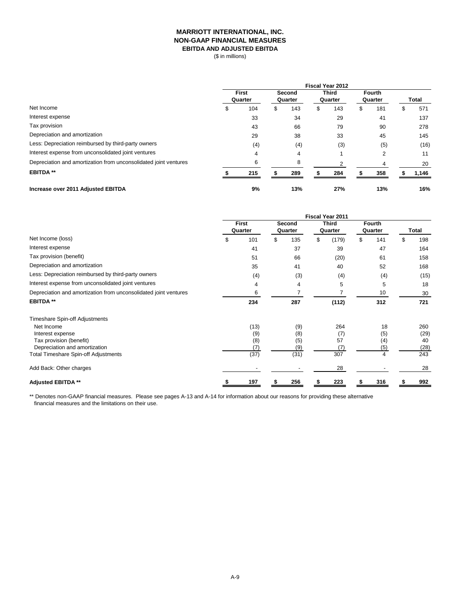## **MARRIOTT INTERNATIONAL, INC. NON-GAAP FINANCIAL MEASURES EBITDA AND ADJUSTED EBITDA**

(\$ in millions)

|                                                                  | <b>Fiscal Year 2012</b> |         |               |         |              |         |               |         |   |              |
|------------------------------------------------------------------|-------------------------|---------|---------------|---------|--------------|---------|---------------|---------|---|--------------|
|                                                                  | <b>First</b>            |         | <b>Second</b> |         | <b>Third</b> |         | <b>Fourth</b> |         |   |              |
|                                                                  |                         | Quarter |               | Quarter |              | Quarter |               | Quarter |   | <b>Total</b> |
| Net Income                                                       | P.                      | 104     | \$            | 143     | \$           | 143     | \$            | 181     | ъ | 571          |
| Interest expense                                                 |                         | 33      |               | 34      |              | 29      |               | 41      |   | 137          |
| Tax provision                                                    |                         | 43      |               | 66      |              | 79      |               | 90      |   | 278          |
| Depreciation and amortization                                    |                         | 29      |               | 38      |              | 33      |               | 45      |   | 145          |
| Less: Depreciation reimbursed by third-party owners              |                         | (4)     |               | (4)     |              | (3)     |               | (5)     |   | (16)         |
| Interest expense from unconsolidated joint ventures              |                         | 4       |               | 4       |              |         |               | 2       |   | 11           |
| Depreciation and amortization from unconsolidated joint ventures |                         | 6       |               | 8       |              |         |               |         |   | 20           |
| <b>EBITDA**</b>                                                  |                         | 215     |               | 289     |              | 284     |               | 358     |   | 1,146        |
| Increase over 2011 Adjusted EBITDA                               |                         | 9%      |               | 13%     |              | 27%     |               | 13%     |   | 16%          |

|                                                                  | Fiscal Year 2011        |      |                          |      |                         |       |                          |     |       |      |
|------------------------------------------------------------------|-------------------------|------|--------------------------|------|-------------------------|-------|--------------------------|-----|-------|------|
|                                                                  | <b>First</b><br>Quarter |      | <b>Second</b><br>Quarter |      | <b>Third</b><br>Quarter |       | <b>Fourth</b><br>Quarter |     |       |      |
|                                                                  |                         |      |                          |      |                         |       |                          |     | Total |      |
| Net Income (loss)                                                | \$                      | 101  | \$                       | 135  | \$                      | (179) | \$                       | 141 | \$    | 198  |
| Interest expense                                                 |                         | 41   |                          | 37   |                         | 39    |                          | 47  |       | 164  |
| Tax provision (benefit)                                          |                         | 51   |                          | 66   |                         | (20)  |                          | 61  |       | 158  |
| Depreciation and amortization                                    |                         | 35   |                          | 41   |                         | 40    |                          | 52  |       | 168  |
| Less: Depreciation reimbursed by third-party owners              |                         | (4)  |                          | (3)  |                         | (4)   |                          | (4) |       | (15) |
| Interest expense from unconsolidated joint ventures              |                         | 4    |                          | 4    |                         | 5     |                          | 5   |       | 18   |
| Depreciation and amortization from unconsolidated joint ventures |                         | 6    |                          |      |                         |       |                          | 10  |       | 30   |
| <b>EBITDA **</b>                                                 |                         | 234  |                          | 287  |                         | (112) |                          | 312 |       | 721  |
| Timeshare Spin-off Adjustments                                   |                         |      |                          |      |                         |       |                          |     |       |      |
| Net Income                                                       |                         | (13) |                          | (9)  |                         | 264   |                          | 18  |       | 260  |
| Interest expense                                                 |                         | (9)  |                          | (8)  |                         | (7)   |                          | (5) |       | (29) |
| Tax provision (benefit)                                          |                         | (8)  |                          | (5)  |                         | 57    |                          | (4) |       | 40   |
| Depreciation and amortization                                    |                         | (7)  |                          | (9)  |                         | (7)   |                          | (5) |       | (28) |
| <b>Total Timeshare Spin-off Adjustments</b>                      |                         | (37) |                          | (31) |                         | 307   |                          | 4   |       | 243  |
| Add Back: Other charges                                          |                         |      |                          |      |                         | 28    |                          |     |       | 28   |
| <b>Adjusted EBITDA **</b>                                        |                         | 197  | S                        | 256  |                         | 223   |                          | 316 |       | 992  |

\*\* Denotes non-GAAP financial measures. Please see pages A-13 and A-14 for information about our reasons for providing these alternative financial measures and the limitations on their use.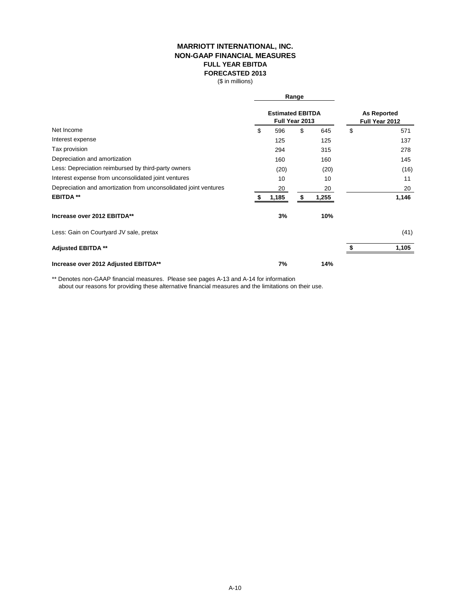## **MARRIOTT INTERNATIONAL, INC. FULL YEAR EBITDA FORECASTED 2013 NON-GAAP FINANCIAL MEASURES**

(\$ in millions)

|                                                                  |    |                                           | Range |                                      |    |       |  |
|------------------------------------------------------------------|----|-------------------------------------------|-------|--------------------------------------|----|-------|--|
|                                                                  |    | <b>Estimated EBITDA</b><br>Full Year 2013 |       | <b>As Reported</b><br>Full Year 2012 |    |       |  |
| Net Income                                                       | \$ | 596                                       | \$    | 645                                  | \$ | 571   |  |
| Interest expense                                                 |    | 125                                       |       | 125                                  |    | 137   |  |
| Tax provision                                                    |    | 294                                       |       | 315                                  |    | 278   |  |
| Depreciation and amortization                                    |    | 160                                       |       | 160                                  |    | 145   |  |
| Less: Depreciation reimbursed by third-party owners              |    | (20)                                      |       | (20)                                 |    | (16)  |  |
| Interest expense from unconsolidated joint ventures              |    | 10                                        |       | 10                                   |    | 11    |  |
| Depreciation and amortization from unconsolidated joint ventures |    | 20                                        |       | 20                                   |    | 20    |  |
| <b>EBITDA**</b>                                                  |    | 1,185                                     |       | 1,255                                |    | 1,146 |  |
| Increase over 2012 EBITDA**                                      |    | 3%                                        |       | 10%                                  |    |       |  |
| Less: Gain on Courtyard JV sale, pretax                          |    |                                           |       |                                      |    | (41)  |  |
| <b>Adjusted EBITDA **</b>                                        |    |                                           |       |                                      |    | 1,105 |  |
| Increase over 2012 Adjusted EBITDA**                             |    | 7%                                        |       | 14%                                  |    |       |  |

\*\* Denotes non-GAAP financial measures. Please see pages A-13 and A-14 for information about our reasons for providing these alternative financial measures and the limitations on their use.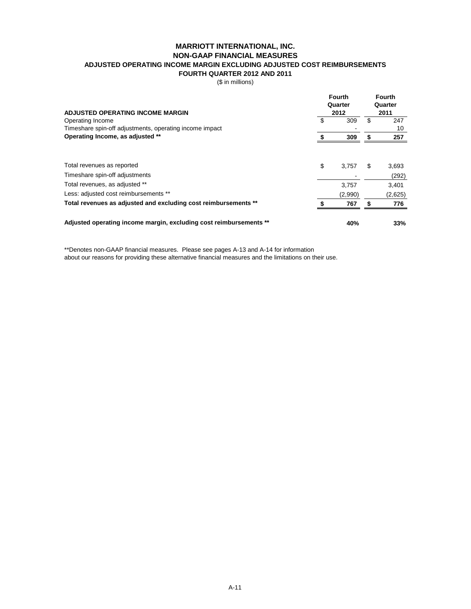#### **MARRIOTT INTERNATIONAL, INC.**

### **NON-GAAP FINANCIAL MEASURES**

**ADJUSTED OPERATING INCOME MARGIN EXCLUDING ADJUSTED COST REIMBURSEMENTS**

**FOURTH QUARTER 2012 AND 2011**

(\$ in millions)

| <b>ADJUSTED OPERATING INCOME MARGIN</b>                            |    | <b>Fourth</b><br>Quarter<br>2012 | <b>Fourth</b><br>Quarter<br>2011 |                |  |
|--------------------------------------------------------------------|----|----------------------------------|----------------------------------|----------------|--|
| Operating Income                                                   |    | 309                              | \$                               | 247            |  |
| Timeshare spin-off adjustments, operating income impact            |    |                                  |                                  | 10             |  |
| Operating Income, as adjusted **                                   |    | 309                              |                                  | 257            |  |
| Total revenues as reported<br>Timeshare spin-off adjustments       | \$ | 3,757                            | \$                               | 3,693<br>(292) |  |
|                                                                    |    |                                  |                                  |                |  |
| Total revenues, as adjusted **                                     |    | 3,757                            |                                  | 3,401          |  |
| Less: adjusted cost reimbursements **                              |    | (2,990)                          |                                  | (2,625)        |  |
| Total revenues as adjusted and excluding cost reimbursements **    |    | 767                              | \$                               | 776            |  |
| Adjusted operating income margin, excluding cost reimbursements ** |    | 40%                              |                                  | 33%            |  |

\*\*Denotes non-GAAP financial measures. Please see pages A-13 and A-14 for information about our reasons for providing these alternative financial measures and the limitations on their use.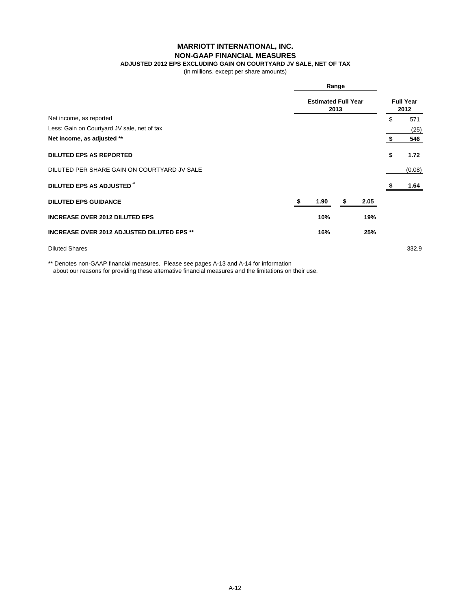## **MARRIOTT INTERNATIONAL, INC.**

### **NON-GAAP FINANCIAL MEASURES**

**ADJUSTED 2012 EPS EXCLUDING GAIN ON COURTYARD JV SALE, NET OF TAX**

(in millions, except per share amounts)

|                                                   | Range                              |   |      |    |        |  |
|---------------------------------------------------|------------------------------------|---|------|----|--------|--|
|                                                   | <b>Estimated Full Year</b><br>2013 |   |      |    |        |  |
| Net income, as reported                           |                                    |   |      | \$ | 571    |  |
| Less: Gain on Courtyard JV sale, net of tax       |                                    |   |      |    | (25)   |  |
| Net income, as adjusted **                        |                                    |   |      |    | 546    |  |
| <b>DILUTED EPS AS REPORTED</b>                    |                                    |   |      | \$ | 1.72   |  |
| DILUTED PER SHARE GAIN ON COURTYARD JV SALE       |                                    |   |      |    | (0.08) |  |
| DILUTED EPS AS ADJUSTED <sup>*</sup>              |                                    |   |      |    | 1.64   |  |
| <b>DILUTED EPS GUIDANCE</b>                       | 1.90                               | S | 2.05 |    |        |  |
| <b>INCREASE OVER 2012 DILUTED EPS</b>             | 10%                                |   | 19%  |    |        |  |
| <b>INCREASE OVER 2012 ADJUSTED DILUTED EPS **</b> | 16%                                |   | 25%  |    |        |  |
| <b>Diluted Shares</b>                             |                                    |   |      |    | 332.9  |  |

\*\* Denotes non-GAAP financial measures. Please see pages A-13 and A-14 for information about our reasons for providing these alternative financial measures and the limitations on their use.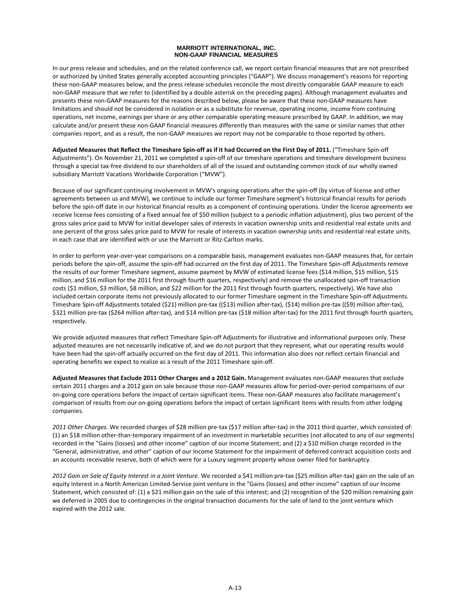#### **MARRIOTT INTERNATIONAL, INC. NON-GAAP FINANCIAL MEASURES**

In our press release and schedules, and on the related conference call, we report certain financial measures that are not prescribed or authorized by United States generally accepted accounting principles ("GAAP"). We discuss management's reasons for reporting these non‐GAAP measures below, and the press release schedules reconcile the most directly comparable GAAP measure to each non‐GAAP measure that we refer to (identified by a double asterisk on the preceding pages). Although management evaluates and presents these non‐GAAP measures for the reasons described below, please be aware that these non‐GAAP measures have limitations and should not be considered in isolation or as a substitute for revenue, operating income, income from continuing operations, net income, earnings per share or any other comparable operating measure prescribed by GAAP. In addition, we may calculate and/or present these non‐GAAP financial measures differently than measures with the same or similar names that other companies report, and as a result, the non‐GAAP measures we report may not be comparable to those reported by others.

**Adjusted Measures that Reflect the Timeshare Spin‐off as if it had Occurred on the First Day of 2011.** ("Timeshare Spin‐off Adjustments"). On November 21, 2011 we completed a spin‐off of our timeshare operations and timeshare development business through a special tax‐free dividend to our shareholders of all of the issued and outstanding common stock of our wholly owned subsidiary Marriott Vacations Worldwide Corporation ("MVW").

Because of our significant continuing involvement in MVW's ongoing operations after the spin‐off (by virtue of license and other agreements between us and MVW), we continue to include our former Timeshare segment's historical financial results for periods before the spin‐off date in our historical financial results as a component of continuing operations. Under the license agreements we receive license fees consisting of a fixed annual fee of \$50 million (subject to a periodic inflation adjustment), plus two percent of the gross sales price paid to MVW for initial developer sales of interests in vacation ownership units and residential real estate units and one percent of the gross sales price paid to MVW for resale of interests in vacation ownership units and residential real estate units, in each case that are identified with or use the Marriott or Ritz‐Carlton marks.

In order to perform year-over-year comparisons on a comparable basis, management evaluates non-GAAP measures that, for certain periods before the spin-off, assume the spin-off had occurred on the first day of 2011. The Timeshare Spin-off Adjustments remove the results of our former Timeshare segment, assume payment by MVW of estimated license fees (\$14 million, \$15 million, \$15 million, and \$16 million for the 2011 first through fourth quarters, respectively) and remove the unallocated spin‐off transaction costs (\$1 million, \$3 million, \$8 million, and \$22 million for the 2011 first through fourth quarters, respectively). We have also included certain corporate items not previously allocated to our former Timeshare segment in the Timeshare Spin‐off Adjustments. Timeshare Spin‐off Adjustments totaled (\$21) million pre‐tax ((\$13) million after‐tax), (\$14) million pre‐tax ((\$9) million after‐tax), \$321 million pre-tax (\$264 million after-tax), and \$14 million pre-tax (\$18 million after-tax) for the 2011 first through fourth quarters, respectively.

We provide adjusted measures that reflect Timeshare Spin-off Adjustments for illustrative and informational purposes only. These adjusted measures are not necessarily indicative of, and we do not purport that they represent, what our operating results would have been had the spin-off actually occurred on the first day of 2011. This information also does not reflect certain financial and operating benefits we expect to realize as a result of the 2011 Timeshare spin‐off.

**Adjusted Measures that Exclude 2011 Other Charges and a 2012 Gain.** Management evaluates non‐GAAP measures that exclude certain 2011 charges and a 2012 gain on sale because those non‐GAAP measures allow for period‐over‐period comparisons of our on‐going core operations before the impact of certain significant items. These non‐GAAP measures also facilitate management's comparison of results from our on‐going operations before the impact of certain significant items with results from other lodging companies.

*2011 Other Charges.* We recorded charges of \$28 million pre‐tax (\$17 million after‐tax) in the 2011 third quarter, which consisted of: (1) an \$18 million other‐than‐temporary impairment of an investment in marketable securities (not allocated to any of our segments) recorded in the "Gains (losses) and other income" caption of our Income Statement; and (2) a \$10 million charge recorded in the "General, administrative, and other" caption of our Income Statement for the impairment of deferred contract acquisition costs and an accounts receivable reserve, both of which were for a Luxury segment property whose owner filed for bankruptcy.

*2012 Gain on Sale of Equity Interest in a Joint Venture.* We recorded a \$41 million pre‐tax (\$25 million after‐tax) gain on the sale of an equity interest in a North American Limited‐Service joint venture in the "Gains (losses) and other income" caption of our Income Statement, which consisted of: (1) a \$21 million gain on the sale of this interest; and (2) recognition of the \$20 million remaining gain we deferred in 2005 due to contingencies in the original transaction documents for the sale of land to the joint venture which expired with the 2012 sale.